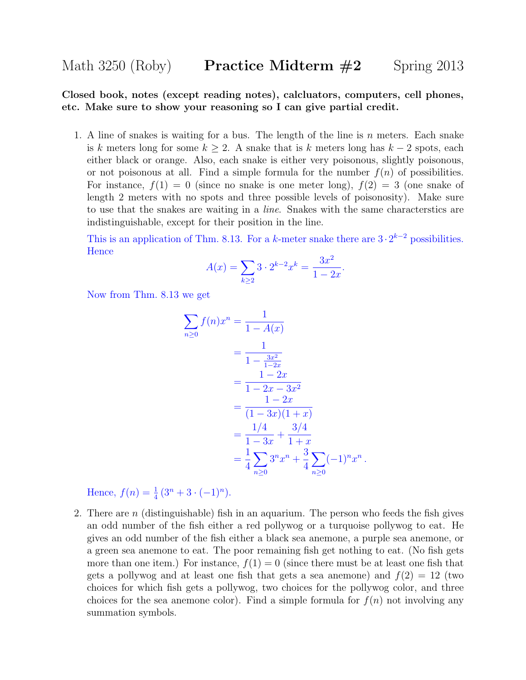Closed book, notes (except reading notes), calcluators, computers, cell phones, etc. Make sure to show your reasoning so I can give partial credit.

1. A line of snakes is waiting for a bus. The length of the line is n meters. Each snake is k meters long for some  $k \geq 2$ . A snake that is k meters long has  $k-2$  spots, each either black or orange. Also, each snake is either very poisonous, slightly poisonous, or not poisonous at all. Find a simple formula for the number  $f(n)$  of possibilities. For instance,  $f(1) = 0$  (since no snake is one meter long),  $f(2) = 3$  (one snake of length 2 meters with no spots and three possible levels of poisonosity). Make sure to use that the snakes are waiting in a line. Snakes with the same characterstics are indistinguishable, except for their position in the line.

This is an application of Thm. 8.13. For a k-meter snake there are  $3 \cdot 2^{k-2}$  possibilities. **Hence** 

$$
A(x) = \sum_{k \ge 2} 3 \cdot 2^{k-2} x^k = \frac{3x^2}{1 - 2x}.
$$

Now from Thm. 8.13 we get

$$
\sum_{n\geq 0} f(n)x^n = \frac{1}{1 - A(x)}
$$
  
= 
$$
\frac{1}{1 - \frac{3x^2}{1 - 2x}}
$$
  
= 
$$
\frac{1 - 2x}{1 - 2x - 3x^2}
$$
  
= 
$$
\frac{1 - 2x}{(1 - 3x)(1 + x)}
$$
  
= 
$$
\frac{1/4}{1 - 3x} + \frac{3/4}{1 + x}
$$
  
= 
$$
\frac{1}{4} \sum_{n\geq 0} 3^n x^n + \frac{3}{4} \sum_{n\geq 0} (-1)^n x^n
$$

.

Hence,  $f(n) = \frac{1}{4}(3^n + 3 \cdot (-1)^n)$ .

2. There are n (distinguishable) fish in an aquarium. The person who feeds the fish gives an odd number of the fish either a red pollywog or a turquoise pollywog to eat. He gives an odd number of the fish either a black sea anemone, a purple sea anemone, or a green sea anemone to eat. The poor remaining fish get nothing to eat. (No fish gets more than one item.) For instance,  $f(1) = 0$  (since there must be at least one fish that gets a pollywog and at least one fish that gets a sea anemone) and  $f(2) = 12$  (two choices for which fish gets a pollywog, two choices for the pollywog color, and three choices for the sea anemone color). Find a simple formula for  $f(n)$  not involving any summation symbols.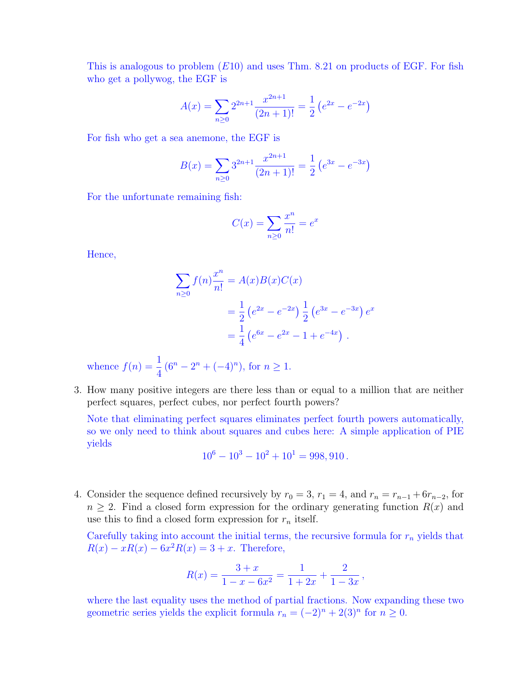This is analogous to problem  $(E10)$  and uses Thm. 8.21 on products of EGF. For fish who get a pollywog, the EGF is

$$
A(x) = \sum_{n\geq 0} 2^{2n+1} \frac{x^{2n+1}}{(2n+1)!} = \frac{1}{2} \left( e^{2x} - e^{-2x} \right)
$$

For fish who get a sea anemone, the EGF is

$$
B(x) = \sum_{n\geq 0} 3^{2n+1} \frac{x^{2n+1}}{(2n+1)!} = \frac{1}{2} \left( e^{3x} - e^{-3x} \right)
$$

For the unfortunate remaining fish:

$$
C(x) = \sum_{n \ge 0} \frac{x^n}{n!} = e^x
$$

Hence,

$$
\sum_{n\geq 0} f(n) \frac{x^n}{n!} = A(x)B(x)C(x)
$$
  
=  $\frac{1}{2} (e^{2x} - e^{-2x}) \frac{1}{2} (e^{3x} - e^{-3x}) e^x$   
=  $\frac{1}{4} (e^{6x} - e^{2x} - 1 + e^{-4x})$ .

whence  $f(n) = \frac{1}{4}$ 4  $(6^n - 2^n + (-4)^n)$ , for  $n \ge 1$ .

3. How many positive integers are there less than or equal to a million that are neither perfect squares, perfect cubes, nor perfect fourth powers?

Note that eliminating perfect squares eliminates perfect fourth powers automatically, so we only need to think about squares and cubes here: A simple application of PIE yields

$$
10^6 - 10^3 - 10^2 + 10^1 = 998,910.
$$

4. Consider the sequence defined recursively by  $r_0 = 3$ ,  $r_1 = 4$ , and  $r_n = r_{n-1} + 6r_{n-2}$ , for  $n \geq 2$ . Find a closed form expression for the ordinary generating function  $R(x)$  and use this to find a closed form expression for  $r_n$  itself.

Carefully taking into account the initial terms, the recursive formula for  $r_n$  yields that  $R(x) - xR(x) - 6x^2R(x) = 3 + x$ . Therefore,

$$
R(x) = \frac{3+x}{1-x-6x^2} = \frac{1}{1+2x} + \frac{2}{1-3x},
$$

where the last equality uses the method of partial fractions. Now expanding these two geometric series yields the explicit formula  $r_n = (-2)^n + 2(3)^n$  for  $n \ge 0$ .